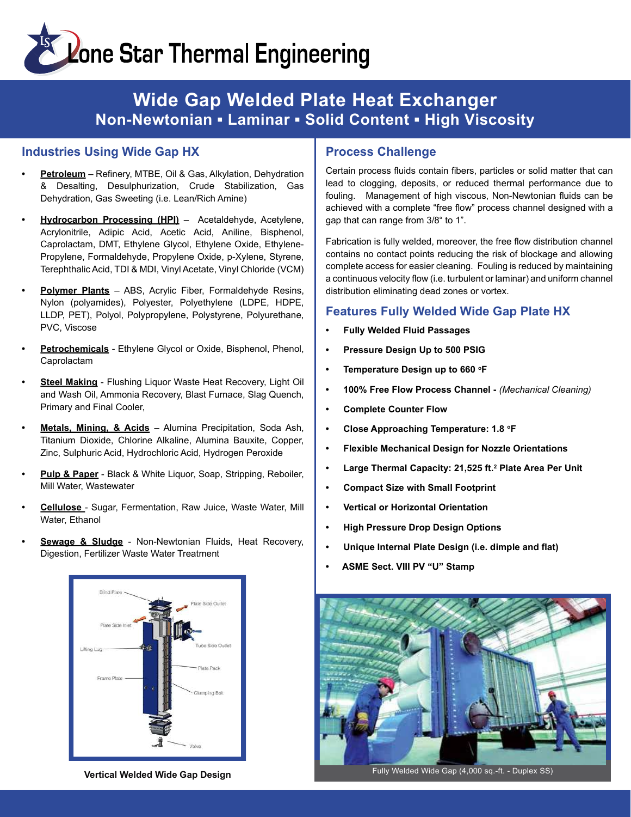# **Extends Star Thermal Engineering**

### Wide Gap Welded Plate Heat Exchanger Non-Newtonian ▪ Laminar ▪ Solid Content ▪ High Viscosity

#### Industries Using Wide Gap HX

- Petroleum Refinery, MTBE, Oil & Gas, Alkylation, Dehydration & Desalting, Desulphurization, Crude Stabilization, Gas Dehydration, Gas Sweeting (i.e. Lean/Rich Amine)
- Hydrocarbon Processing (HPI) Acetaldehyde, Acetylene, Acrylonitrile, Adipic Acid, Acetic Acid, Aniline, Bisphenol, Caprolactam, DMT, Ethylene Glycol, Ethylene Oxide, Ethylene-Propylene, Formaldehyde, Propylene Oxide, p-Xylene, Styrene, Terephthalic Acid, TDI & MDI, Vinyl Acetate, Vinyl Chloride (VCM)
- Polymer Plants ABS, Acrylic Fiber, Formaldehyde Resins, Nylon (polyamides), Polyester, Polyethylene (LDPE, HDPE, LLDP, PET), Polyol, Polypropylene, Polystyrene, Polyurethane, PVC, Viscose
- Petrochemicals Ethylene Glycol or Oxide, Bisphenol, Phenol, Caprolactam
- Steel Making Flushing Liquor Waste Heat Recovery, Light Oil and Wash Oil, Ammonia Recovery, Blast Furnace, Slag Quench, Primary and Final Cooler,
- Metals, Mining, & Acids Alumina Precipitation, Soda Ash, Titanium Dioxide, Chlorine Alkaline, Alumina Bauxite, Copper, Zinc, Sulphuric Acid, Hydrochloric Acid, Hydrogen Peroxide
- Pulp & Paper Black & White Liquor, Soap, Stripping, Reboiler, Mill Water, Wastewater
- Cellulose Sugar, Fermentation, Raw Juice, Waste Water, Mill Water, Ethanol
- Sewage & Sludge Non-Newtonian Fluids, Heat Recovery, Digestion, Fertilizer Waste Water Treatment



#### Process Challenge

Certain process fluids contain fibers, particles or solid matter that can lead to clogging, deposits, or reduced thermal performance due to fouling. Management of high viscous, Non-Newtonian fluids can be achieved with a complete "free flow" process channel designed with a gap that can range from 3/8" to 1".

Fabrication is fully welded, moreover, the free flow distribution channel contains no contact points reducing the risk of blockage and allowing complete access for easier cleaning. Fouling is reduced by maintaining a continuous velocity flow (i.e. turbulent or laminar) and uniform channel distribution eliminating dead zones or vortex.

#### Features Fully Welded Wide Gap Plate HX

- Fully Welded Fluid Passages
- Pressure Design Up to 500 PSIG
- Temperature Design up to 660 °F
- 100% Free Flow Process Channel (Mechanical Cleaning)
- Complete Counter Flow
- Close Approaching Temperature: 1.8 °F
- Flexible Mechanical Design for Nozzle Orientations
- Large Thermal Capacity: 21,525 ft.<sup>2</sup> Plate Area Per Unit
- Compact Size with Small Footprint
- Vertical or Horizontal Orientation
- High Pressure Drop Design Options
- Unique Internal Plate Design (i.e. dimple and flat)
- ASME Sect. VIII PV "U" Stamp



Vertical Welded Wide Gap Design National Communication of Fully Welded Wide Gap (4,000 sq.-ft. - Duplex SS)